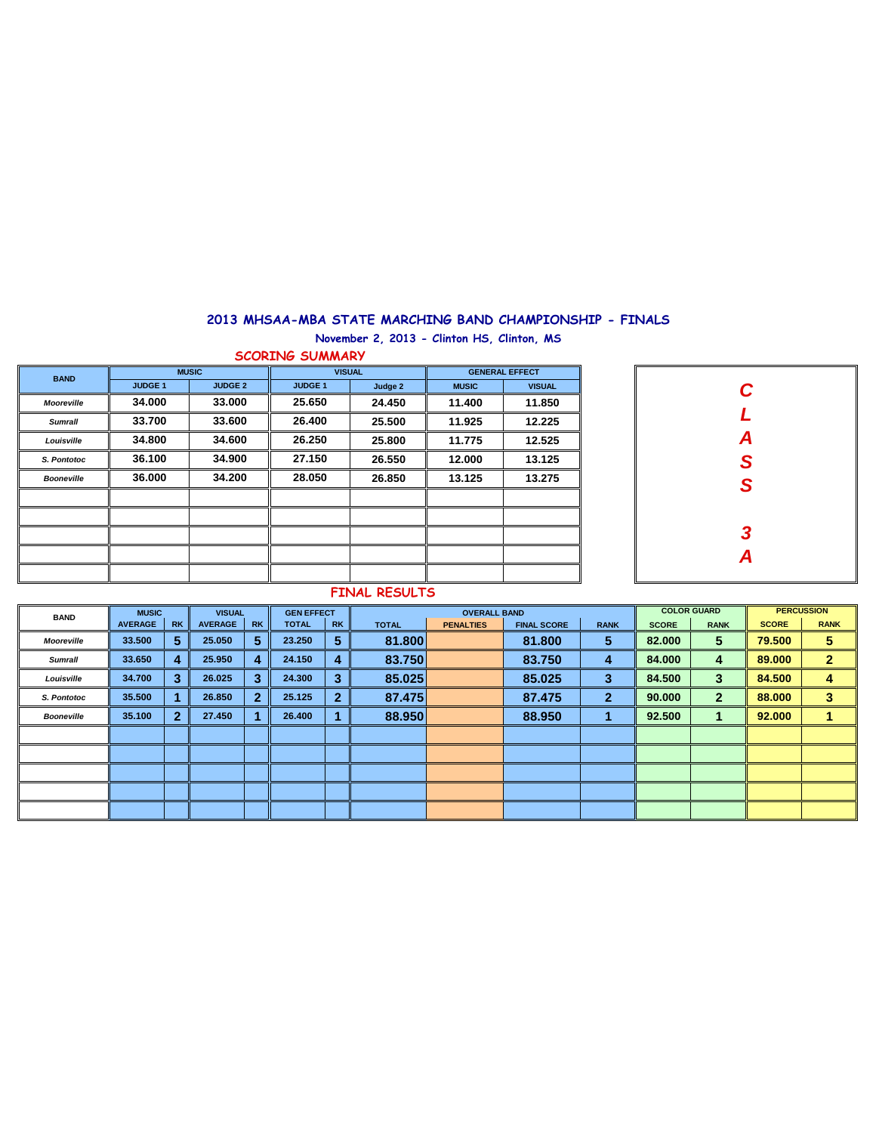## **2013 MHSAA-MBA STATE MARCHING BAND CHAMPIONSHIP - FINALS**

**November 2, 2013 - Clinton HS, Clinton, MS**

**SCORING SUMMARY**

| <b>BAND</b>       |                | <b>MUSIC</b>   |                | <b>VISUAL</b> | <b>GENERAL EFFECT</b> |               |  |  |  |
|-------------------|----------------|----------------|----------------|---------------|-----------------------|---------------|--|--|--|
|                   | <b>JUDGE 1</b> | <b>JUDGE 2</b> | <b>JUDGE 1</b> | Judge 2       | <b>MUSIC</b>          | <b>VISUAL</b> |  |  |  |
| <b>Mooreville</b> | 34.000         | 33,000         | 25.650         | 24.450        | 11.400                | 11.850        |  |  |  |
| <b>Sumrall</b>    | 33.700         | 33,600         | 26.400         | 25.500        | 11.925                | 12.225        |  |  |  |
| Louisville        | 34.800         | 34.600         | 26.250         | 25,800        | 11.775                | 12.525        |  |  |  |
| S. Pontotoc       | 36.100         | 34.900         | 27.150         | 26.550        | 12.000                | 13.125        |  |  |  |
| <b>Booneville</b> | 36.000         | 34.200         | 28.050         | 26.850        | 13.125                | 13.275        |  |  |  |
|                   |                |                |                |               |                       |               |  |  |  |
|                   |                |                |                |               |                       |               |  |  |  |
|                   |                |                |                |               |                       |               |  |  |  |
|                   |                |                |                |               |                       |               |  |  |  |
|                   |                |                |                |               |                       |               |  |  |  |

| C<br>L<br>A<br>S<br>S |
|-----------------------|
|                       |
|                       |
|                       |
|                       |
| $\frac{3}{4}$         |
|                       |
|                       |

## **FINAL RESULTS**

| <b>BAND</b>       | <b>MUSIC</b>   |              | <b>VISUAL</b>  |              | <b>GEN EFFECT</b> |              |              | <b>OVERALL BAND</b> |                    |              | <b>COLOR GUARD</b> | <b>PERCUSSION</b> |              |              |
|-------------------|----------------|--------------|----------------|--------------|-------------------|--------------|--------------|---------------------|--------------------|--------------|--------------------|-------------------|--------------|--------------|
|                   | <b>AVERAGE</b> | <b>RK</b>    | <b>AVERAGE</b> | <b>RK</b>    | <b>TOTAL</b>      | <b>RK</b>    | <b>TOTAL</b> | <b>PENALTIES</b>    | <b>FINAL SCORE</b> | <b>RANK</b>  | <b>SCORE</b>       | <b>RANK</b>       | <b>SCORE</b> | <b>RANK</b>  |
| Mooreville        | 33.500         | 5            | 25.050         | 5            | 23.250            | 5            | 81.800       |                     | 81.800             | 5            | 82.000             | 5                 | 79.500       | 5            |
| <b>Sumrall</b>    | 33.650         | 4            | 25.950         | 4            | 24.150            | 4            | 83.750       |                     | 83.750             | 4            | 84.000             | 4                 | 89,000       | $\mathbf{2}$ |
| Louisville        | 34.700         | 3            | 26.025         | 3            | 24.300            | 3            | 85.025       |                     | 85,025             | 3            | 84.500             | 3                 | 84,500       | 4            |
| S. Pontotoc       | 35.500         |              | 26.850         | $\mathbf{2}$ | 25.125            | $\mathbf{2}$ | 87.475       |                     | 87.475             | $\mathbf{2}$ | 90.000             | $\mathbf{2}$      | 88,000       | 3            |
| <b>Booneville</b> | 35.100         | $\mathbf{2}$ | 27,450         |              | 26,400            |              | 88.950       |                     | 88.950             |              | 92.500             |                   | 92,000       |              |
|                   |                |              |                |              |                   |              |              |                     |                    |              |                    |                   |              |              |
|                   |                |              |                |              |                   |              |              |                     |                    |              |                    |                   |              |              |
|                   |                |              |                |              |                   |              |              |                     |                    |              |                    |                   |              |              |
|                   |                |              |                |              |                   |              |              |                     |                    |              |                    |                   |              |              |
|                   |                |              |                |              |                   |              |              |                     |                    |              |                    |                   |              |              |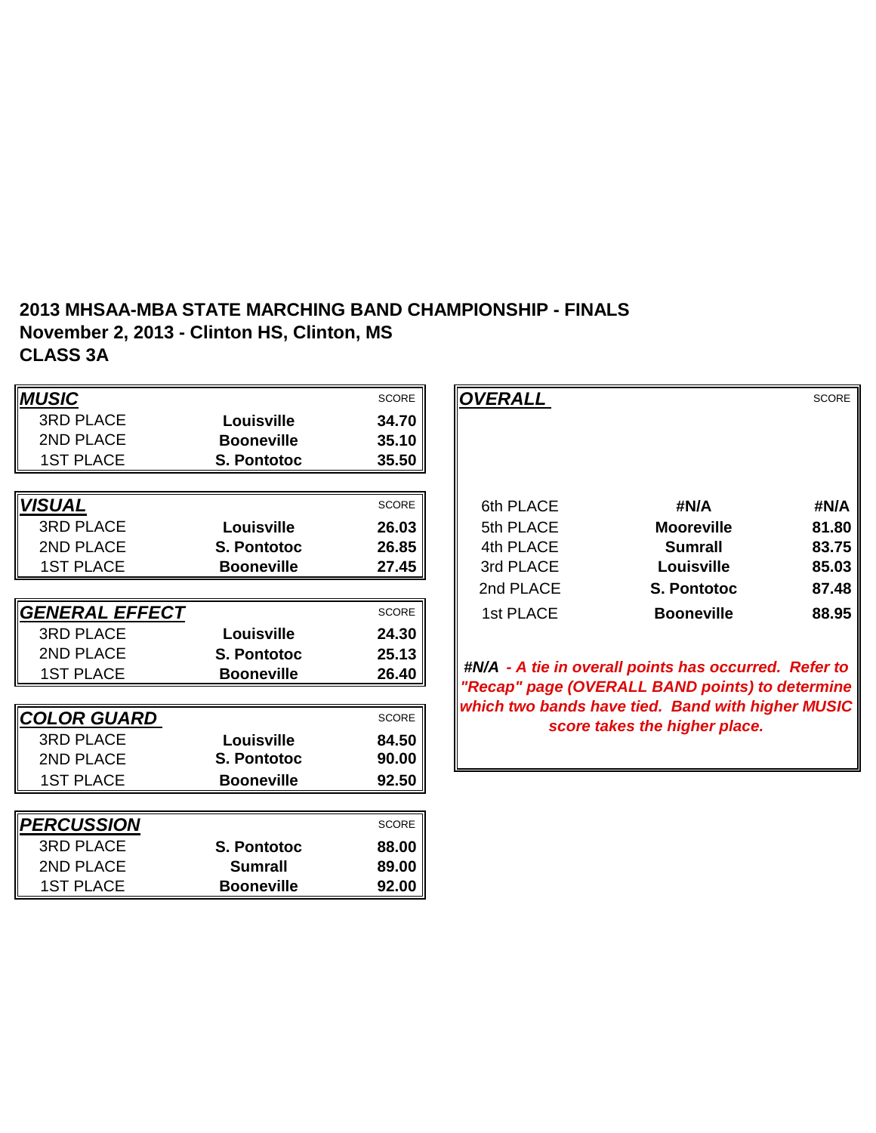## **2013 MHSAA-MBA STATE MARCHING BAND CHAMPIONSHIP - FINALS November 2, 2013 - Clinton HS, Clinton, MS CLASS 3A**

| <b>MUSIC</b>              |                    | <b>SCORE</b> | <b>OVERALL</b> |                                                                                                      | <b>SCORE</b> |
|---------------------------|--------------------|--------------|----------------|------------------------------------------------------------------------------------------------------|--------------|
| <b>3RD PLACE</b>          | Louisville         | 34.70        |                |                                                                                                      |              |
| 2ND PLACE                 | <b>Booneville</b>  | 35.10        |                |                                                                                                      |              |
| <b>1ST PLACE</b>          | <b>S. Pontotoc</b> | 35.50        |                |                                                                                                      |              |
|                           |                    |              |                |                                                                                                      |              |
| <b>VISUAL</b>             |                    | <b>SCORE</b> | 6th PLACE      | #N/A                                                                                                 | #N/A         |
| <b>3RD PLACE</b>          | Louisville         | 26.03        | 5th PLACE      | <b>Mooreville</b>                                                                                    | 81.80        |
| 2ND PLACE                 | <b>S. Pontotoc</b> | 26.85        | 4th PLACE      | <b>Sumrall</b>                                                                                       | 83.75        |
| <b>1ST PLACE</b>          | <b>Booneville</b>  | 27.45        | 3rd PLACE      | Louisville                                                                                           | 85.03        |
|                           |                    |              | 2nd PLACE      | <b>S. Pontotoc</b>                                                                                   | 87.48        |
| GENERAL EFFECT            |                    | <b>SCORE</b> | 1st PLACE      | <b>Booneville</b>                                                                                    | 88.95        |
| <b>3RD PLACE</b>          | Louisville         | 24.30        |                |                                                                                                      |              |
| 2ND PLACE                 | <b>S. Pontotoc</b> | 25.13        |                |                                                                                                      |              |
| <b>1ST PLACE</b>          | <b>Booneville</b>  | 26.40        |                | #N/A - A tie in overall points has occurred. Refer to                                                |              |
|                           |                    |              |                | "Recap" page (OVERALL BAND points) to determine<br>which two bands have tied. Band with higher MUSIC |              |
| COLOR GUARD               |                    | <b>SCORE</b> |                | score takes the higher place.                                                                        |              |
| <b>3RD PLACE</b>          | Louisville         | 84.50        |                |                                                                                                      |              |
| 2ND PLACE                 | S. Pontotoc        | 90.00        |                |                                                                                                      |              |
| <b>1ST PLACE</b>          | <b>Booneville</b>  | 92.50        |                |                                                                                                      |              |
|                           |                    |              |                |                                                                                                      |              |
| <i><b> PERCUSSION</b></i> |                    | SCORE        |                |                                                                                                      |              |
| <b>3RD PLACE</b>          | S. Pontotoc        | 88.00        |                |                                                                                                      |              |
| 2ND PLACE                 | <b>Sumrall</b>     | 89.00        |                |                                                                                                      |              |
| <b>1ST PLACE</b>          | <b>Booneville</b>  | 92.00        |                |                                                                                                      |              |

|                    | <b>SCORE</b> | <b>OVERALL</b> |                    | <b>SCORE</b> |
|--------------------|--------------|----------------|--------------------|--------------|
| Louisville         | 34.70        |                |                    |              |
| <b>Booneville</b>  | 35.10        |                |                    |              |
| <b>S. Pontotoc</b> | 35.50        |                |                    |              |
|                    |              |                |                    |              |
|                    | <b>SCORE</b> | 6th PLACE      | #N/A               | #N/A         |
| Louisville         | 26.03        | 5th PLACE      | <b>Mooreville</b>  | 81.80        |
| <b>S. Pontotoc</b> | 26.85        | 4th PLACE      | <b>Sumrall</b>     | 83.75        |
| <b>Booneville</b>  | 27.45        | 3rd PLACE      | <b>Louisville</b>  | 85.03        |
|                    |              | 2nd PLACE      | <b>S. Pontotoc</b> | 87.48        |
|                    | <b>SCORE</b> | 1st PLACE      | <b>Booneville</b>  | 88.95        |
| Louisville         | 24.30        |                |                    |              |